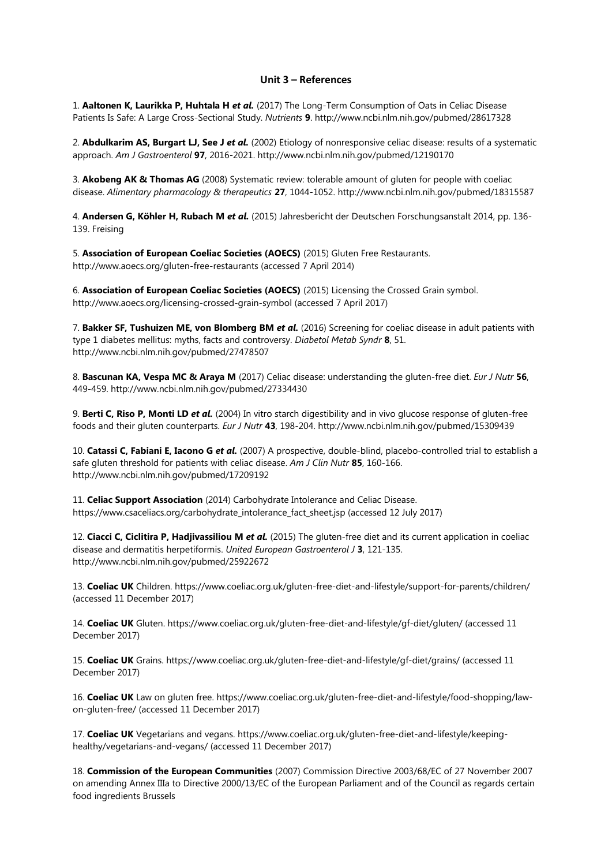## **Unit 3 – References**

1. **Aaltonen K, Laurikka P, Huhtala H** *et al.* (2017) The Long-Term Consumption of Oats in Celiac Disease Patients Is Safe: A Large Cross-Sectional Study. *Nutrients* **9**. http://www.ncbi.nlm.nih.gov/pubmed/28617328

2. **Abdulkarim AS, Burgart LJ, See J** *et al.* (2002) Etiology of nonresponsive celiac disease: results of a systematic approach. *Am J Gastroenterol* **97**, 2016-2021. http://www.ncbi.nlm.nih.gov/pubmed/12190170

3. **Akobeng AK & Thomas AG** (2008) Systematic review: tolerable amount of gluten for people with coeliac disease. *Alimentary pharmacology & therapeutics* **27**, 1044-1052. http://www.ncbi.nlm.nih.gov/pubmed/18315587

4. **Andersen G, Köhler H, Rubach M** *et al.* (2015) Jahresbericht der Deutschen Forschungsanstalt 2014, pp. 136- 139. Freising

5. **Association of European Coeliac Societies (AOECS)** (2015) Gluten Free Restaurants. http://www.aoecs.org/gluten-free-restaurants (accessed 7 April 2014)

6. **Association of European Coeliac Societies (AOECS)** (2015) Licensing the Crossed Grain symbol. http://www.aoecs.org/licensing-crossed-grain-symbol (accessed 7 April 2017)

7. **Bakker SF, Tushuizen ME, von Blomberg BM** *et al.* (2016) Screening for coeliac disease in adult patients with type 1 diabetes mellitus: myths, facts and controversy. *Diabetol Metab Syndr* **8**, 51. http://www.ncbi.nlm.nih.gov/pubmed/27478507

8. **Bascunan KA, Vespa MC & Araya M** (2017) Celiac disease: understanding the gluten-free diet. *Eur J Nutr* **56**, 449-459. http://www.ncbi.nlm.nih.gov/pubmed/27334430

9. **Berti C, Riso P, Monti LD** *et al.* (2004) In vitro starch digestibility and in vivo glucose response of gluten-free foods and their gluten counterparts. *Eur J Nutr* **43**, 198-204. http://www.ncbi.nlm.nih.gov/pubmed/15309439

10. **Catassi C, Fabiani E, Iacono G** *et al.* (2007) A prospective, double-blind, placebo-controlled trial to establish a safe gluten threshold for patients with celiac disease. *Am J Clin Nutr* **85**, 160-166. http://www.ncbi.nlm.nih.gov/pubmed/17209192

11. **Celiac Support Association** (2014) Carbohydrate Intolerance and Celiac Disease. https://www.csaceliacs.org/carbohydrate\_intolerance\_fact\_sheet.jsp (accessed 12 July 2017)

12. **Ciacci C, Ciclitira P, Hadjivassiliou M** *et al.* (2015) The gluten-free diet and its current application in coeliac disease and dermatitis herpetiformis. *United European Gastroenterol J* **3**, 121-135. http://www.ncbi.nlm.nih.gov/pubmed/25922672

13. **Coeliac UK** Children. https://www.coeliac.org.uk/gluten-free-diet-and-lifestyle/support-for-parents/children/ (accessed 11 December 2017)

14. **Coeliac UK** Gluten. https://www.coeliac.org.uk/gluten-free-diet-and-lifestyle/gf-diet/gluten/ (accessed 11 December 2017)

15. **Coeliac UK** Grains. https://www.coeliac.org.uk/gluten-free-diet-and-lifestyle/gf-diet/grains/ (accessed 11 December 2017)

16. **Coeliac UK** Law on gluten free. https://www.coeliac.org.uk/gluten-free-diet-and-lifestyle/food-shopping/lawon-gluten-free/ (accessed 11 December 2017)

17. **Coeliac UK** Vegetarians and vegans. https://www.coeliac.org.uk/gluten-free-diet-and-lifestyle/keepinghealthy/vegetarians-and-vegans/ (accessed 11 December 2017)

18. **Commission of the European Communities** (2007) Commission Directive 2003/68/EC of 27 November 2007 on amending Annex IIIa to Directive 2000/13/EC of the European Parliament and of the Council as regards certain food ingredients Brussels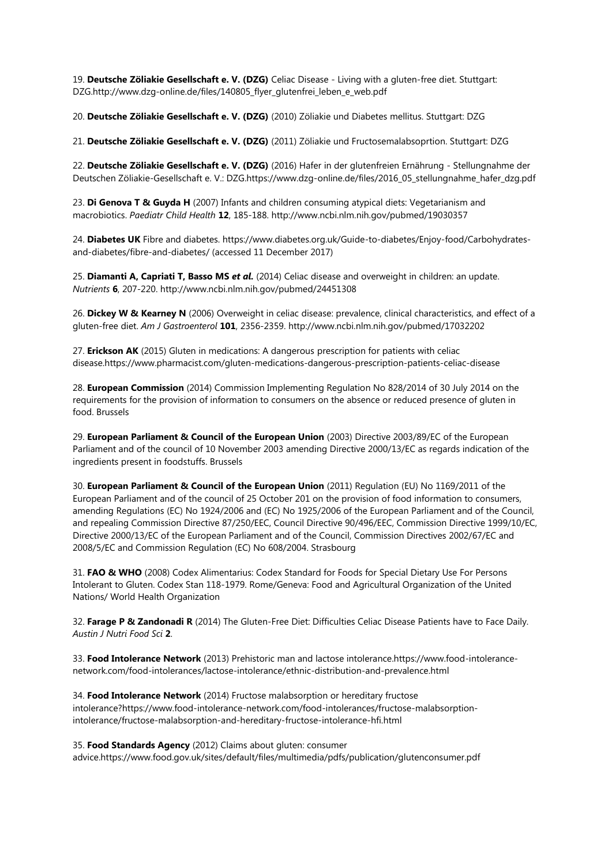19. **Deutsche Zöliakie Gesellschaft e. V. (DZG)** Celiac Disease - Living with a gluten-free diet. Stuttgart: DZG.http://www.dzg-online.de/files/140805\_flyer\_glutenfrei\_leben\_e\_web.pdf

20. **Deutsche Zöliakie Gesellschaft e. V. (DZG)** (2010) Zöliakie und Diabetes mellitus. Stuttgart: DZG

21. **Deutsche Zöliakie Gesellschaft e. V. (DZG)** (2011) Zöliakie und Fructosemalabsoprtion. Stuttgart: DZG

22. **Deutsche Zöliakie Gesellschaft e. V. (DZG)** (2016) Hafer in der glutenfreien Ernährung - Stellungnahme der Deutschen Zöliakie-Gesellschaft e. V.: DZG.https://www.dzg-online.de/files/2016\_05\_stellungnahme\_hafer\_dzg.pdf

23. **Di Genova T & Guyda H** (2007) Infants and children consuming atypical diets: Vegetarianism and macrobiotics. *Paediatr Child Health* **12**, 185-188. http://www.ncbi.nlm.nih.gov/pubmed/19030357

24. **Diabetes UK** Fibre and diabetes. https://www.diabetes.org.uk/Guide-to-diabetes/Enjoy-food/Carbohydratesand-diabetes/fibre-and-diabetes/ (accessed 11 December 2017)

25. **Diamanti A, Capriati T, Basso MS** *et al.* (2014) Celiac disease and overweight in children: an update. *Nutrients* **6**, 207-220. http://www.ncbi.nlm.nih.gov/pubmed/24451308

26. **Dickey W & Kearney N** (2006) Overweight in celiac disease: prevalence, clinical characteristics, and effect of a gluten-free diet. *Am J Gastroenterol* **101**, 2356-2359. http://www.ncbi.nlm.nih.gov/pubmed/17032202

27. **Erickson AK** (2015) Gluten in medications: A dangerous prescription for patients with celiac disease.https://www.pharmacist.com/gluten-medications-dangerous-prescription-patients-celiac-disease

28. **European Commission** (2014) Commission Implementing Regulation No 828/2014 of 30 July 2014 on the requirements for the provision of information to consumers on the absence or reduced presence of gluten in food. Brussels

29. **European Parliament & Council of the European Union** (2003) Directive 2003/89/EC of the European Parliament and of the council of 10 November 2003 amending Directive 2000/13/EC as regards indication of the ingredients present in foodstuffs. Brussels

30. **European Parliament & Council of the European Union** (2011) Regulation (EU) No 1169/2011 of the European Parliament and of the council of 25 October 201 on the provision of food information to consumers, amending Regulations (EC) No 1924/2006 and (EC) No 1925/2006 of the European Parliament and of the Council, and repealing Commission Directive 87/250/EEC, Council Directive 90/496/EEC, Commission Directive 1999/10/EC, Directive 2000/13/EC of the European Parliament and of the Council, Commission Directives 2002/67/EC and 2008/5/EC and Commission Regulation (EC) No 608/2004. Strasbourg

31. **FAO & WHO** (2008) Codex Alimentarius: Codex Standard for Foods for Special Dietary Use For Persons Intolerant to Gluten. Codex Stan 118-1979. Rome/Geneva: Food and Agricultural Organization of the United Nations/ World Health Organization

32. **Farage P & Zandonadi R** (2014) The Gluten-Free Diet: Difficulties Celiac Disease Patients have to Face Daily. *Austin J Nutri Food Sci* **2**.

33. **Food Intolerance Network** (2013) Prehistoric man and lactose intolerance.https://www.food-intolerancenetwork.com/food-intolerances/lactose-intolerance/ethnic-distribution-and-prevalence.html

34. **Food Intolerance Network** (2014) Fructose malabsorption or hereditary fructose intolerance?https://www.food-intolerance-network.com/food-intolerances/fructose-malabsorptionintolerance/fructose-malabsorption-and-hereditary-fructose-intolerance-hfi.html

35. **Food Standards Agency** (2012) Claims about gluten: consumer advice.https://www.food.gov.uk/sites/default/files/multimedia/pdfs/publication/glutenconsumer.pdf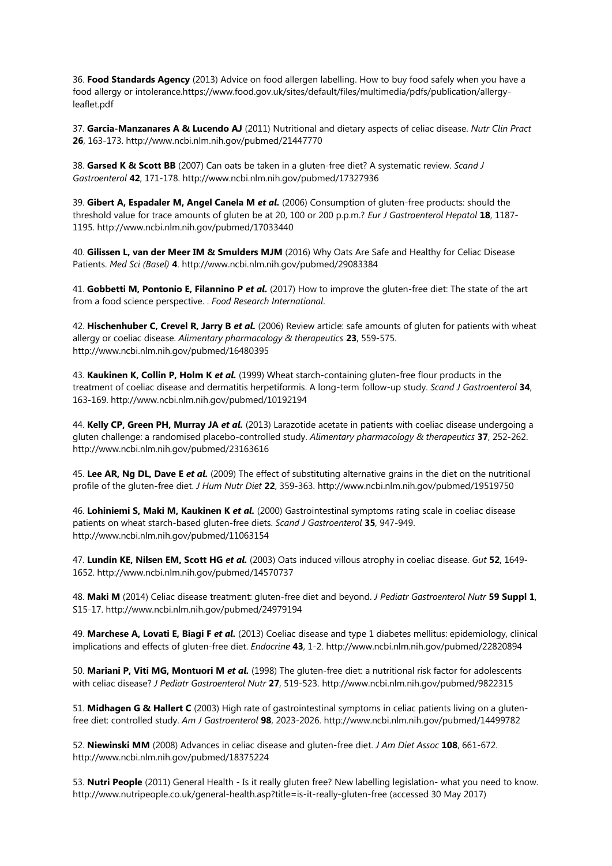36. **Food Standards Agency** (2013) Advice on food allergen labelling. How to buy food safely when you have a food allergy or intolerance.https://www.food.gov.uk/sites/default/files/multimedia/pdfs/publication/allergyleaflet.pdf

37. **Garcia-Manzanares A & Lucendo AJ** (2011) Nutritional and dietary aspects of celiac disease. *Nutr Clin Pract* **26**, 163-173. http://www.ncbi.nlm.nih.gov/pubmed/21447770

38. **Garsed K & Scott BB** (2007) Can oats be taken in a gluten-free diet? A systematic review. *Scand J Gastroenterol* **42**, 171-178. http://www.ncbi.nlm.nih.gov/pubmed/17327936

39. **Gibert A, Espadaler M, Angel Canela M** *et al.* (2006) Consumption of gluten-free products: should the threshold value for trace amounts of gluten be at 20, 100 or 200 p.p.m.? *Eur J Gastroenterol Hepatol* **18**, 1187- 1195. http://www.ncbi.nlm.nih.gov/pubmed/17033440

40. **Gilissen L, van der Meer IM & Smulders MJM** (2016) Why Oats Are Safe and Healthy for Celiac Disease Patients. *Med Sci (Basel)* **4**. http://www.ncbi.nlm.nih.gov/pubmed/29083384

41. **Gobbetti M, Pontonio E, Filannino P** *et al.* (2017) How to improve the gluten-free diet: The state of the art from a food science perspective. . *Food Research International*.

42. **Hischenhuber C, Crevel R, Jarry B** *et al.* (2006) Review article: safe amounts of gluten for patients with wheat allergy or coeliac disease. *Alimentary pharmacology & therapeutics* **23**, 559-575. http://www.ncbi.nlm.nih.gov/pubmed/16480395

43. **Kaukinen K, Collin P, Holm K** *et al.* (1999) Wheat starch-containing gluten-free flour products in the treatment of coeliac disease and dermatitis herpetiformis. A long-term follow-up study. *Scand J Gastroenterol* **34**, 163-169. http://www.ncbi.nlm.nih.gov/pubmed/10192194

44. **Kelly CP, Green PH, Murray JA** *et al.* (2013) Larazotide acetate in patients with coeliac disease undergoing a gluten challenge: a randomised placebo-controlled study. *Alimentary pharmacology & therapeutics* **37**, 252-262. http://www.ncbi.nlm.nih.gov/pubmed/23163616

45. **Lee AR, Ng DL, Dave E** *et al.* (2009) The effect of substituting alternative grains in the diet on the nutritional profile of the gluten-free diet. *J Hum Nutr Diet* **22**, 359-363. http://www.ncbi.nlm.nih.gov/pubmed/19519750

46. **Lohiniemi S, Maki M, Kaukinen K** *et al.* (2000) Gastrointestinal symptoms rating scale in coeliac disease patients on wheat starch-based gluten-free diets. *Scand J Gastroenterol* **35**, 947-949. http://www.ncbi.nlm.nih.gov/pubmed/11063154

47. **Lundin KE, Nilsen EM, Scott HG** *et al.* (2003) Oats induced villous atrophy in coeliac disease. *Gut* **52**, 1649- 1652. http://www.ncbi.nlm.nih.gov/pubmed/14570737

48. **Maki M** (2014) Celiac disease treatment: gluten-free diet and beyond. *J Pediatr Gastroenterol Nutr* **59 Suppl 1**, S15-17. http://www.ncbi.nlm.nih.gov/pubmed/24979194

49. **Marchese A, Lovati E, Biagi F** *et al.* (2013) Coeliac disease and type 1 diabetes mellitus: epidemiology, clinical implications and effects of gluten-free diet. *Endocrine* **43**, 1-2. http://www.ncbi.nlm.nih.gov/pubmed/22820894

50. **Mariani P, Viti MG, Montuori M** *et al.* (1998) The gluten-free diet: a nutritional risk factor for adolescents with celiac disease? *J Pediatr Gastroenterol Nutr* **27**, 519-523. http://www.ncbi.nlm.nih.gov/pubmed/9822315

51. **Midhagen G & Hallert C** (2003) High rate of gastrointestinal symptoms in celiac patients living on a glutenfree diet: controlled study. *Am J Gastroenterol* **98**, 2023-2026. http://www.ncbi.nlm.nih.gov/pubmed/14499782

52. **Niewinski MM** (2008) Advances in celiac disease and gluten-free diet. *J Am Diet Assoc* **108**, 661-672. http://www.ncbi.nlm.nih.gov/pubmed/18375224

53. **Nutri People** (2011) General Health - Is it really gluten free? New labelling legislation- what you need to know. http://www.nutripeople.co.uk/general-health.asp?title=is-it-really-gluten-free (accessed 30 May 2017)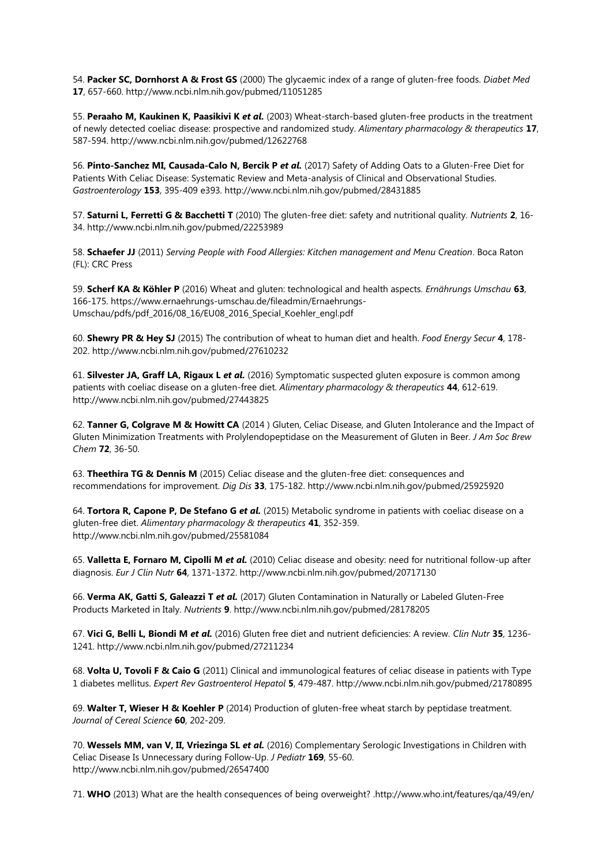54. **Packer SC, Dornhorst A & Frost GS** (2000) The glycaemic index of a range of gluten-free foods. *Diabet Med* **17**, 657-660. http://www.ncbi.nlm.nih.gov/pubmed/11051285

55. **Peraaho M, Kaukinen K, Paasikivi K** *et al.* (2003) Wheat-starch-based gluten-free products in the treatment of newly detected coeliac disease: prospective and randomized study. *Alimentary pharmacology & therapeutics* **17**, 587-594. http://www.ncbi.nlm.nih.gov/pubmed/12622768

56. **Pinto-Sanchez MI, Causada-Calo N, Bercik P** *et al.* (2017) Safety of Adding Oats to a Gluten-Free Diet for Patients With Celiac Disease: Systematic Review and Meta-analysis of Clinical and Observational Studies. *Gastroenterology* **153**, 395-409 e393. http://www.ncbi.nlm.nih.gov/pubmed/28431885

57. **Saturni L, Ferretti G & Bacchetti T** (2010) The gluten-free diet: safety and nutritional quality. *Nutrients* **2**, 16- 34. http://www.ncbi.nlm.nih.gov/pubmed/22253989

58. **Schaefer JJ** (2011) *Serving People with Food Allergies: Kitchen management and Menu Creation*. Boca Raton (FL): CRC Press

59. **Scherf KA & Köhler P** (2016) Wheat and gluten: technological and health aspects. *Ernährungs Umschau* **63**, 166-175. https://www.ernaehrungs-umschau.de/fileadmin/Ernaehrungs-Umschau/pdfs/pdf\_2016/08\_16/EU08\_2016\_Special\_Koehler\_engl.pdf

60. **Shewry PR & Hey SJ** (2015) The contribution of wheat to human diet and health. *Food Energy Secur* **4**, 178- 202. http://www.ncbi.nlm.nih.gov/pubmed/27610232

61. **Silvester JA, Graff LA, Rigaux L** *et al.* (2016) Symptomatic suspected gluten exposure is common among patients with coeliac disease on a gluten-free diet. *Alimentary pharmacology & therapeutics* **44**, 612-619. http://www.ncbi.nlm.nih.gov/pubmed/27443825

62. **Tanner G, Colgrave M & Howitt CA** (2014 ) Gluten, Celiac Disease, and Gluten Intolerance and the Impact of Gluten Minimization Treatments with Prolylendopeptidase on the Measurement of Gluten in Beer. *J Am Soc Brew Chem* **72**, 36-50.

63. **Theethira TG & Dennis M** (2015) Celiac disease and the gluten-free diet: consequences and recommendations for improvement. *Dig Dis* **33**, 175-182. http://www.ncbi.nlm.nih.gov/pubmed/25925920

64. **Tortora R, Capone P, De Stefano G** *et al.* (2015) Metabolic syndrome in patients with coeliac disease on a gluten-free diet. *Alimentary pharmacology & therapeutics* **41**, 352-359. http://www.ncbi.nlm.nih.gov/pubmed/25581084

65. **Valletta E, Fornaro M, Cipolli M** *et al.* (2010) Celiac disease and obesity: need for nutritional follow-up after diagnosis. *Eur J Clin Nutr* **64**, 1371-1372. http://www.ncbi.nlm.nih.gov/pubmed/20717130

66. **Verma AK, Gatti S, Galeazzi T** *et al.* (2017) Gluten Contamination in Naturally or Labeled Gluten-Free Products Marketed in Italy. *Nutrients* **9**. http://www.ncbi.nlm.nih.gov/pubmed/28178205

67. **Vici G, Belli L, Biondi M** *et al.* (2016) Gluten free diet and nutrient deficiencies: A review. *Clin Nutr* **35**, 1236- 1241. http://www.ncbi.nlm.nih.gov/pubmed/27211234

68. **Volta U, Tovoli F & Caio G** (2011) Clinical and immunological features of celiac disease in patients with Type 1 diabetes mellitus. *Expert Rev Gastroenterol Hepatol* **5**, 479-487. http://www.ncbi.nlm.nih.gov/pubmed/21780895

69. **Walter T, Wieser H & Koehler P** (2014) Production of gluten-free wheat starch by peptidase treatment. *Journal of Cereal Science* **60**, 202-209.

70. **Wessels MM, van V, II, Vriezinga SL** *et al.* (2016) Complementary Serologic Investigations in Children with Celiac Disease Is Unnecessary during Follow-Up. *J Pediatr* **169**, 55-60. http://www.ncbi.nlm.nih.gov/pubmed/26547400

71. **WHO** (2013) What are the health consequences of being overweight? .http://www.who.int/features/qa/49/en/